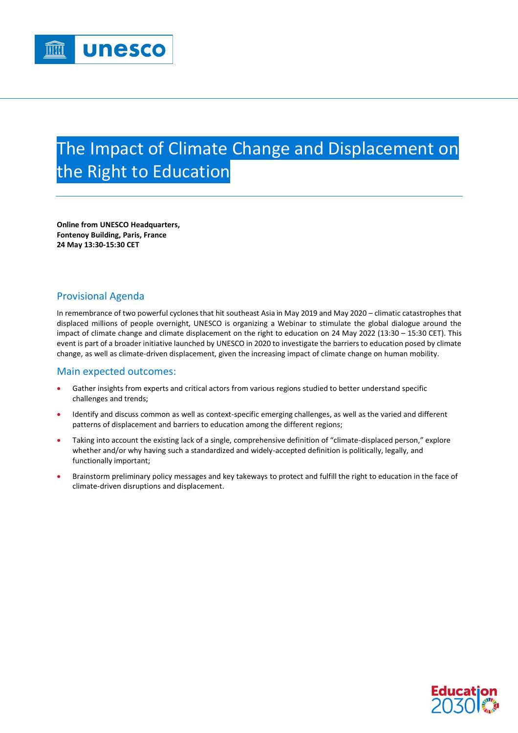## The Impact of Climate Change and Displacement on the Right to Education

**Online from UNESCO Headquarters, Fontenoy Building, Paris, France 24 May 13:30-15:30 CET**

## Provisional Agenda

In remembrance of two powerful cyclones that hit southeast Asia in May 2019 and May 2020 – climatic catastrophes that displaced millions of people overnight, UNESCO is organizing a Webinar to stimulate the global dialogue around the impact of climate change and climate displacement on the right to education on 24 May 2022 (13:30 – 15:30 CET). This event is part of a broader initiative launched by UNESCO in 2020 to investigate the barriers to education posed by climate change, as well as climate-driven displacement, given the increasing impact of climate change on human mobility.

## Main expected outcomes:

- Gather insights from experts and critical actors from various regions studied to better understand specific challenges and trends;
- Identify and discuss common as well as context-specific emerging challenges, as well as the varied and different patterns of displacement and barriers to education among the different regions;
- Taking into account the existing lack of a single, comprehensive definition of "climate-displaced person," explore whether and/or why having such a standardized and widely-accepted definition is politically, legally, and functionally important;
- Brainstorm preliminary policy messages and key takeways to protect and fulfill the right to education in the face of climate-driven disruptions and displacement.

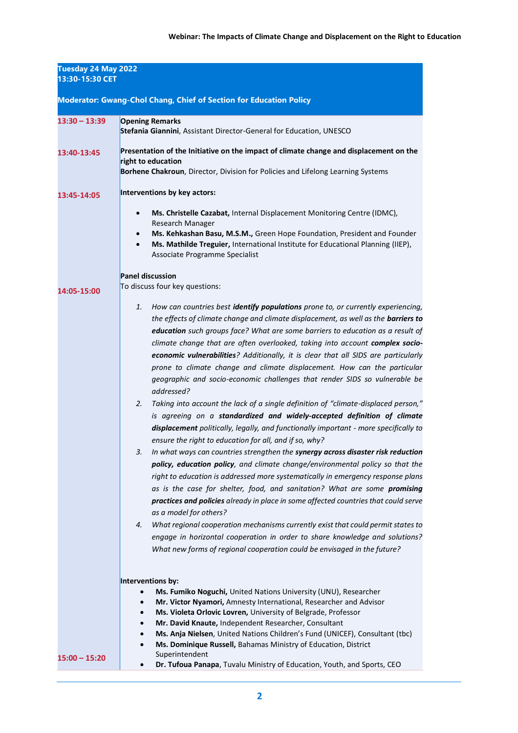| Tuesday 24 May 2022<br>13:30-15:30 CET<br><b>Moderator: Gwang-Chol Chang, Chief of Section for Education Policy</b> |                                                                                                                                                                                                                                                                                                                                                                                                                                                                                                                                                                                                                                                                                                                                                                                                                                                                                                                                                                                                                                                                                                                                                                                                                                                                                                                                                                                                                                                                                                                                                                                                                                                                |  |
|---------------------------------------------------------------------------------------------------------------------|----------------------------------------------------------------------------------------------------------------------------------------------------------------------------------------------------------------------------------------------------------------------------------------------------------------------------------------------------------------------------------------------------------------------------------------------------------------------------------------------------------------------------------------------------------------------------------------------------------------------------------------------------------------------------------------------------------------------------------------------------------------------------------------------------------------------------------------------------------------------------------------------------------------------------------------------------------------------------------------------------------------------------------------------------------------------------------------------------------------------------------------------------------------------------------------------------------------------------------------------------------------------------------------------------------------------------------------------------------------------------------------------------------------------------------------------------------------------------------------------------------------------------------------------------------------------------------------------------------------------------------------------------------------|--|
|                                                                                                                     |                                                                                                                                                                                                                                                                                                                                                                                                                                                                                                                                                                                                                                                                                                                                                                                                                                                                                                                                                                                                                                                                                                                                                                                                                                                                                                                                                                                                                                                                                                                                                                                                                                                                |  |
| 13:40-13:45                                                                                                         | Presentation of the Initiative on the impact of climate change and displacement on the<br>right to education                                                                                                                                                                                                                                                                                                                                                                                                                                                                                                                                                                                                                                                                                                                                                                                                                                                                                                                                                                                                                                                                                                                                                                                                                                                                                                                                                                                                                                                                                                                                                   |  |
|                                                                                                                     | Borhene Chakroun, Director, Division for Policies and Lifelong Learning Systems                                                                                                                                                                                                                                                                                                                                                                                                                                                                                                                                                                                                                                                                                                                                                                                                                                                                                                                                                                                                                                                                                                                                                                                                                                                                                                                                                                                                                                                                                                                                                                                |  |
| 13:45-14:05                                                                                                         | Interventions by key actors:                                                                                                                                                                                                                                                                                                                                                                                                                                                                                                                                                                                                                                                                                                                                                                                                                                                                                                                                                                                                                                                                                                                                                                                                                                                                                                                                                                                                                                                                                                                                                                                                                                   |  |
|                                                                                                                     | Ms. Christelle Cazabat, Internal Displacement Monitoring Centre (IDMC),<br>$\bullet$<br>Research Manager                                                                                                                                                                                                                                                                                                                                                                                                                                                                                                                                                                                                                                                                                                                                                                                                                                                                                                                                                                                                                                                                                                                                                                                                                                                                                                                                                                                                                                                                                                                                                       |  |
|                                                                                                                     | Ms. Kehkashan Basu, M.S.M., Green Hope Foundation, President and Founder<br>Ms. Mathilde Treguier, International Institute for Educational Planning (IIEP),<br>Associate Programme Specialist                                                                                                                                                                                                                                                                                                                                                                                                                                                                                                                                                                                                                                                                                                                                                                                                                                                                                                                                                                                                                                                                                                                                                                                                                                                                                                                                                                                                                                                                  |  |
| 14:05-15:00                                                                                                         | <b>Panel discussion</b><br>To discuss four key questions:                                                                                                                                                                                                                                                                                                                                                                                                                                                                                                                                                                                                                                                                                                                                                                                                                                                                                                                                                                                                                                                                                                                                                                                                                                                                                                                                                                                                                                                                                                                                                                                                      |  |
|                                                                                                                     | 1.<br>How can countries best <b>identify populations</b> prone to, or currently experiencing,<br>the effects of climate change and climate displacement, as well as the <b>barriers to</b><br>education such groups face? What are some barriers to education as a result of<br>climate change that are often overlooked, taking into account complex socio-<br>economic vulnerabilities? Additionally, it is clear that all SIDS are particularly<br>prone to climate change and climate displacement. How can the particular<br>geographic and socio-economic challenges that render SIDS so vulnerable be<br>addressed?<br>Taking into account the lack of a single definition of "climate-displaced person,"<br>2.<br>is agreeing on a standardized and widely-accepted definition of climate<br>displacement politically, legally, and functionally important - more specifically to<br>ensure the right to education for all, and if so, why?<br>In what ways can countries strengthen the synergy across disaster risk reduction<br>policy, education policy, and climate change/environmental policy so that the<br>right to education is addressed more systematically in emergency response plans<br>as is the case for shelter, food, and sanitation? What are some promising<br>practices and policies already in place in some affected countries that could serve<br>as a model for others?<br>What regional cooperation mechanisms currently exist that could permit states to<br>4.<br>engage in horizontal cooperation in order to share knowledge and solutions?<br>What new forms of regional cooperation could be envisaged in the future? |  |
|                                                                                                                     | Interventions by:<br>Ms. Fumiko Noguchi, United Nations University (UNU), Researcher<br>Mr. Victor Nyamori, Amnesty International, Researcher and Advisor<br>Ms. Violeta Orlovic Lovren, University of Belgrade, Professor<br>Mr. David Knaute, Independent Researcher, Consultant<br>$\bullet$                                                                                                                                                                                                                                                                                                                                                                                                                                                                                                                                                                                                                                                                                                                                                                                                                                                                                                                                                                                                                                                                                                                                                                                                                                                                                                                                                                |  |
| $15:00 - 15:20$                                                                                                     | Ms. Anja Nielsen, United Nations Children's Fund (UNICEF), Consultant (tbc)<br>$\bullet$<br>Ms. Dominique Russell, Bahamas Ministry of Education, District<br>$\bullet$<br>Superintendent<br>Dr. Tufoua Panapa, Tuvalu Ministry of Education, Youth, and Sports, CEO                                                                                                                                                                                                                                                                                                                                                                                                                                                                                                                                                                                                                                                                                                                                                                                                                                                                                                                                                                                                                                                                                                                                                                                                                                                                                                                                                                                           |  |